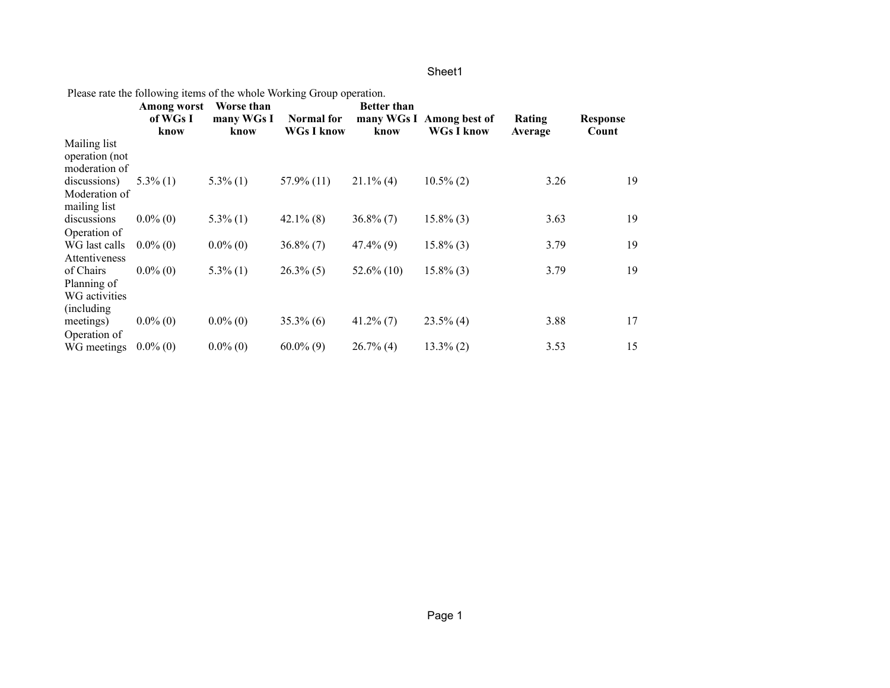|  | Please rate the following items of the whole Working Group operation. |  |
|--|-----------------------------------------------------------------------|--|
|  |                                                                       |  |

|                                | Among worst<br>of WGs I<br>know | Worse than<br>many WGs I<br>know | Normal for<br><b>WGs I know</b> | <b>Better than</b><br>many WGs I<br>know | Among best of<br><b>WGs I know</b> | Rating<br>Average | <b>Response</b><br>Count |
|--------------------------------|---------------------------------|----------------------------------|---------------------------------|------------------------------------------|------------------------------------|-------------------|--------------------------|
| Mailing list<br>operation (not |                                 |                                  |                                 |                                          |                                    |                   |                          |
| moderation of                  |                                 |                                  |                                 |                                          |                                    |                   |                          |
| discussions)                   | $5.3\%$ (1)                     | $5.3\%$ (1)                      | $57.9\%$ (11)                   | $21.1\%$ (4)                             | $10.5\%$ (2)                       | 3.26              | 19                       |
| Moderation of<br>mailing list  |                                 |                                  |                                 |                                          |                                    |                   |                          |
| discussions                    | $0.0\%$ (0)                     | $5.3\%$ (1)                      | $42.1\%$ (8)                    | $36.8\%$ (7)                             | $15.8\%$ (3)                       | 3.63              | 19                       |
| Operation of                   |                                 |                                  |                                 |                                          |                                    |                   |                          |
| WG last calls<br>Attentiveness | $0.0\%$ (0)                     | $0.0\%$ (0)                      | $36.8\%$ (7)                    | $47.4\%$ (9)                             | $15.8\%$ (3)                       | 3.79              | 19                       |
| of Chairs                      | $0.0\%$ (0)                     | $5.3\%$ (1)                      | $26.3\%$ (5)                    | $52.6\%$ (10)                            | $15.8\%$ (3)                       | 3.79              | 19                       |
| Planning of                    |                                 |                                  |                                 |                                          |                                    |                   |                          |
| WG activities                  |                                 |                                  |                                 |                                          |                                    |                   |                          |
| (including)                    |                                 |                                  |                                 |                                          |                                    |                   |                          |
| meetings)                      | $0.0\%$ (0)                     | $0.0\%$ (0)                      | $35.3\%$ (6)                    | $41.2\%$ (7)                             | $23.5\%$ (4)                       | 3.88              | 17                       |
| Operation of                   |                                 |                                  |                                 |                                          |                                    |                   |                          |
| WG meetings                    | $0.0\%$ (0)                     | $0.0\%$ (0)                      | $60.0\%$ (9)                    | $26.7\%$ (4)                             | $13.3\%$ (2)                       | 3.53              | 15                       |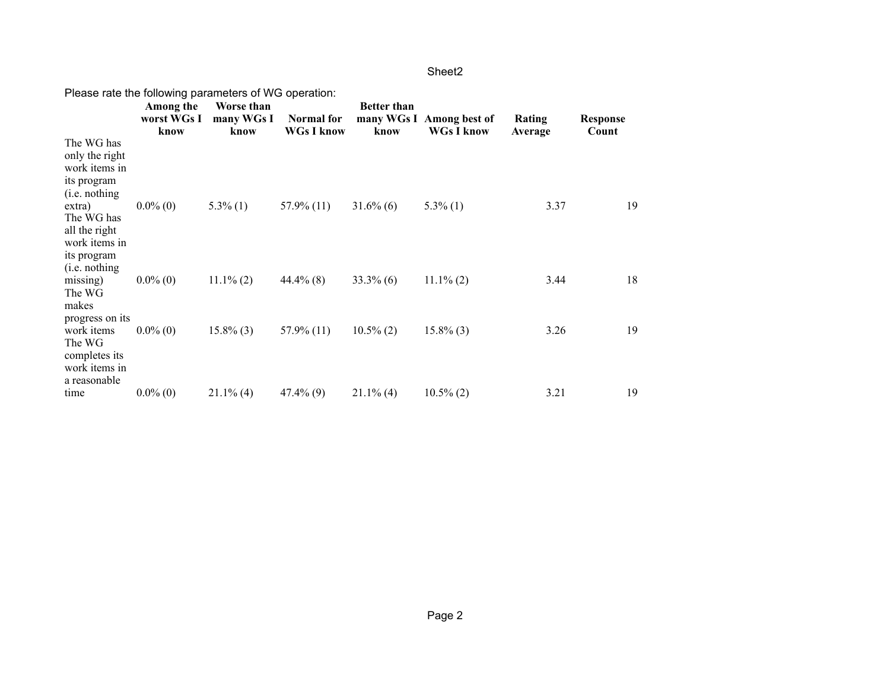| Please rate the following parameters of WG operation:                                   |                                  |                                  |                                 |                            |                                               |                   |                          |
|-----------------------------------------------------------------------------------------|----------------------------------|----------------------------------|---------------------------------|----------------------------|-----------------------------------------------|-------------------|--------------------------|
|                                                                                         | Among the<br>worst WGs I<br>know | Worse than<br>many WGs I<br>know | Normal for<br><b>WGs I know</b> | <b>Better than</b><br>know | many WGs I Among best of<br><b>WGs I know</b> | Rating<br>Average | <b>Response</b><br>Count |
| The WG has<br>only the right<br>work items in<br>its program<br>(i.e. nothing)          |                                  |                                  |                                 |                            |                                               |                   |                          |
| extra)<br>The WG has<br>all the right<br>work items in<br>its program<br>(i.e. nothing) | $0.0\%$ (0)                      | $5.3\%$ (1)                      | $57.9\%$ (11)                   | $31.6\%$ (6)               | $5.3\%$ (1)                                   | 3.37              | 19                       |
| missing)<br>The WG<br>makes<br>progress on its                                          | $0.0\%$ (0)                      | $11.1\%$ (2)                     | $44.4\%$ (8)                    | $33.3\%$ (6)               | $11.1\%$ (2)                                  | 3.44              | 18                       |
| work items<br>The WG<br>completes its<br>work items in<br>a reasonable                  | $0.0\%$ (0)                      | $15.8\%$ (3)                     | $57.9\%$ (11)                   | $10.5\%$ (2)               | $15.8\%$ (3)                                  | 3.26              | 19                       |
| time                                                                                    | $0.0\%$ (0)                      | $21.1\%$ (4)                     | $47.4\%$ (9)                    | $21.1\%$ (4)               | $10.5\%$ (2)                                  | 3.21              | 19                       |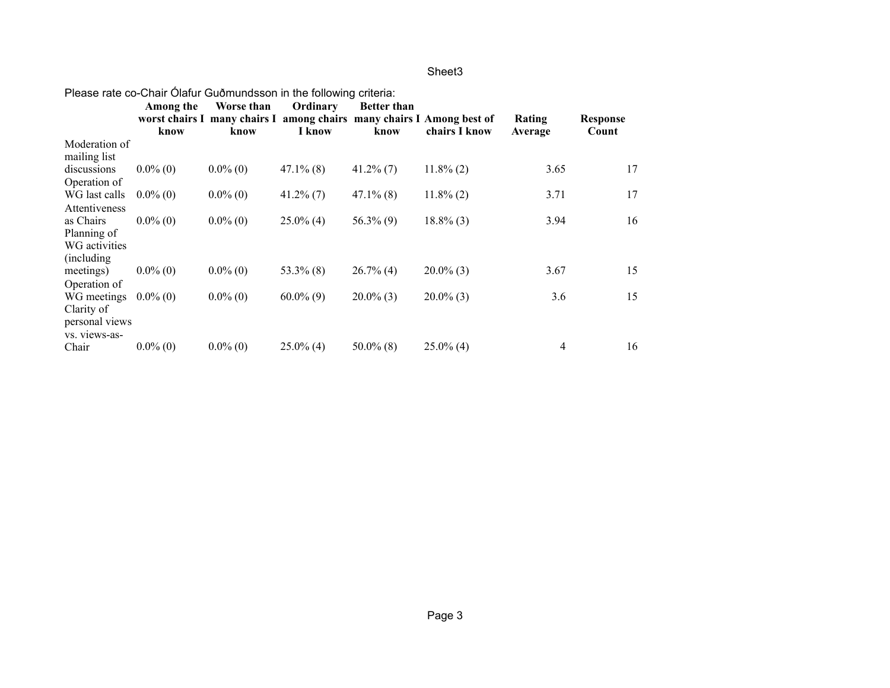| <u>r icasc rate co-chair Olaiur Gubritunusson in the ioliowing chiena.</u> |             |             |              |                    |                                                                       |         |                 |  |
|----------------------------------------------------------------------------|-------------|-------------|--------------|--------------------|-----------------------------------------------------------------------|---------|-----------------|--|
|                                                                            | Among the   | Worse than  | Ordinary     | <b>Better than</b> |                                                                       |         |                 |  |
|                                                                            |             |             |              |                    | worst chairs I many chairs I among chairs many chairs I Among best of | Rating  | <b>Response</b> |  |
|                                                                            | know        | know        | I know       | know               | chairs I know                                                         | Average | Count           |  |
| Moderation of                                                              |             |             |              |                    |                                                                       |         |                 |  |
| mailing list                                                               |             |             |              |                    |                                                                       |         |                 |  |
| discussions                                                                | $0.0\%$ (0) | $0.0\%$ (0) | $47.1\%$ (8) | $41.2\%$ (7)       | $11.8\%$ (2)                                                          | 3.65    | 17              |  |
| Operation of                                                               |             |             |              |                    |                                                                       |         |                 |  |
| WG last calls                                                              | $0.0\%$ (0) | $0.0\%$ (0) | $41.2\%$ (7) | $47.1\%$ (8)       | $11.8\%$ (2)                                                          | 3.71    | 17              |  |
| Attentiveness                                                              |             |             |              |                    |                                                                       |         |                 |  |
| as Chairs                                                                  | $0.0\%$ (0) | $0.0\%$ (0) | $25.0\%$ (4) | $56.3\%$ (9)       | $18.8\%$ (3)                                                          | 3.94    | 16              |  |
| Planning of                                                                |             |             |              |                    |                                                                       |         |                 |  |
| WG activities                                                              |             |             |              |                    |                                                                       |         |                 |  |
| (including)                                                                |             |             |              |                    |                                                                       |         |                 |  |
| meetings)                                                                  | $0.0\%$ (0) | $0.0\%$ (0) | $53.3\%$ (8) | $26.7\%$ (4)       | $20.0\%$ (3)                                                          | 3.67    | 15              |  |
| Operation of                                                               |             |             |              |                    |                                                                       |         |                 |  |
| WG meetings                                                                | $0.0\%$ (0) | $0.0\%$ (0) | $60.0\%$ (9) | $20.0\%$ (3)       | $20.0\%$ (3)                                                          | 3.6     | 15              |  |
| Clarity of                                                                 |             |             |              |                    |                                                                       |         |                 |  |
| personal views                                                             |             |             |              |                    |                                                                       |         |                 |  |
| vs. views-as-                                                              |             |             |              |                    |                                                                       |         |                 |  |
| Chair                                                                      | $0.0\%$ (0) | $0.0\%$ (0) | $25.0\%$ (4) | $50.0\%$ (8)       | $25.0\%$ (4)                                                          | 4       | 16              |  |

### Please rate co-Chair Ólafur Guðmundsson in the following criteria: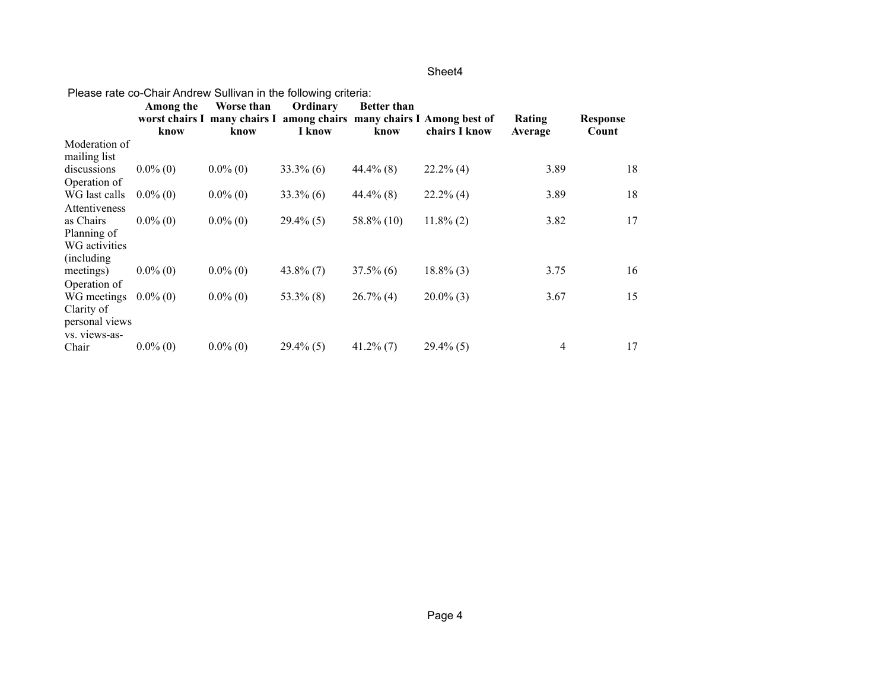|                | <u>r icasc rate co-chair Anurew Sullivan in the fullowing chiena.</u> |             |              |                    |                                                                       |         |                 |
|----------------|-----------------------------------------------------------------------|-------------|--------------|--------------------|-----------------------------------------------------------------------|---------|-----------------|
|                | Among the                                                             | Worse than  | Ordinary     | <b>Better than</b> |                                                                       |         |                 |
|                |                                                                       |             |              |                    | worst chairs I many chairs I among chairs many chairs I Among best of | Rating  | <b>Response</b> |
|                | know                                                                  | know        | I know       | know               | chairs I know                                                         | Average | Count           |
| Moderation of  |                                                                       |             |              |                    |                                                                       |         |                 |
| mailing list   |                                                                       |             |              |                    |                                                                       |         |                 |
| discussions    | $0.0\%$ (0)                                                           | $0.0\%$ (0) | $33.3\%$ (6) | $44.4\%$ (8)       | $22.2\%$ (4)                                                          | 3.89    | 18              |
| Operation of   |                                                                       |             |              |                    |                                                                       |         |                 |
| WG last calls  | $0.0\%$ (0)                                                           | $0.0\%$ (0) | $33.3\%$ (6) | $44.4\%$ (8)       | $22.2\%$ (4)                                                          | 3.89    | 18              |
| Attentiveness  |                                                                       |             |              |                    |                                                                       |         |                 |
| as Chairs      | $0.0\%$ (0)                                                           | $0.0\%$ (0) | $29.4\%$ (5) | $58.8\%$ (10)      | $11.8\%$ (2)                                                          | 3.82    | 17              |
| Planning of    |                                                                       |             |              |                    |                                                                       |         |                 |
| WG activities  |                                                                       |             |              |                    |                                                                       |         |                 |
| (including)    |                                                                       |             |              |                    |                                                                       |         |                 |
| meetings)      | $0.0\%$ (0)                                                           | $0.0\%$ (0) | $43.8\%$ (7) | $37.5\%$ (6)       | $18.8\%$ (3)                                                          | 3.75    | 16              |
| Operation of   |                                                                       |             |              |                    |                                                                       |         |                 |
| WG meetings    | $0.0\%$ (0)                                                           | $0.0\%$ (0) | $53.3\%$ (8) | $26.7\%$ (4)       | $20.0\%$ (3)                                                          | 3.67    | 15              |
| Clarity of     |                                                                       |             |              |                    |                                                                       |         |                 |
| personal views |                                                                       |             |              |                    |                                                                       |         |                 |
| vs. views-as-  |                                                                       |             |              |                    |                                                                       |         |                 |
| Chair          | $0.0\%$ (0)                                                           | $0.0\%$ (0) | $29.4\%$ (5) | $41.2\%$ (7)       | $29.4\%$ (5)                                                          | 4       | 17              |

#### Please rate co-Chair Andrew Sullivan in the following criteria: